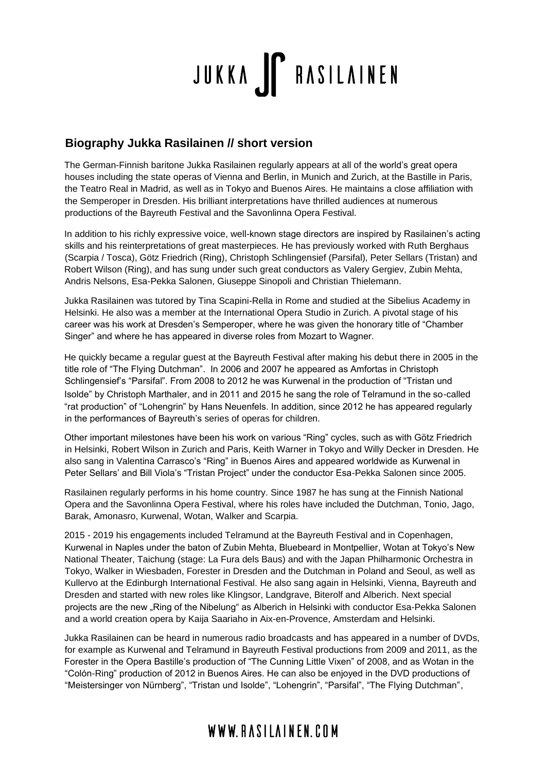# JUKKA FRASILAINEN

#### **Biography Jukka Rasilainen // short version**

The German-Finnish baritone Jukka Rasilainen regularly appears at all of the world's great opera houses including the state operas of Vienna and Berlin, in Munich and Zurich, at the Bastille in Paris, the Teatro Real in Madrid, as well as in Tokyo and Buenos Aires. He maintains a close affiliation with the Semperoper in Dresden. His brilliant interpretations have thrilled audiences at numerous productions of the Bayreuth Festival and the Savonlinna Opera Festival.

In addition to his richly expressive voice, well-known stage directors are inspired by Rasilainen's acting skills and his reinterpretations of great masterpieces. He has previously worked with Ruth Berghaus (Scarpia / Tosca), Götz Friedrich (Ring), Christoph Schlingensief (Parsifal), Peter Sellars (Tristan) and Robert Wilson (Ring), and has sung under such great conductors as Valery Gergiev, Zubin Mehta, Andris Nelsons, Esa-Pekka Salonen, Giuseppe Sinopoli and Christian Thielemann.

Jukka Rasilainen was tutored by Tina Scapini-Rella in Rome and studied at the Sibelius Academy in Helsinki. He also was a member at the International Opera Studio in Zurich. A pivotal stage of his career was his work at Dresden's Semperoper, where he was given the honorary title of "Chamber Singer" and where he has appeared in diverse roles from Mozart to Wagner.

He quickly became a regular guest at the Bayreuth Festival after making his debut there in 2005 in the title role of "The Flying Dutchman". In 2006 and 2007 he appeared as Amfortas in Christoph Schlingensief's "Parsifal". From 2008 to 2012 he was Kurwenal in the production of "Tristan und Isolde" by Christoph Marthaler, and in 2011 and 2015 he sang the role of Telramund in the so-called "rat production" of "Lohengrin" by Hans Neuenfels. In addition, since 2012 he has appeared regularly in the performances of Bayreuth's series of operas for children.

Other important milestones have been his work on various "Ring" cycles, such as with Götz Friedrich in Helsinki, Robert Wilson in Zurich and Paris, Keith Warner in Tokyo and Willy Decker in Dresden. He also sang in Valentina Carrasco's "Ring" in Buenos Aires and appeared worldwide as Kurwenal in Peter Sellars' and Bill Viola's "Tristan Project" under the conductor Esa-Pekka Salonen since 2005.

Rasilainen regularly performs in his home country. Since 1987 he has sung at the Finnish National Opera and the Savonlinna Opera Festival, where his roles have included the Dutchman, Tonio, Jago, Barak, Amonasro, Kurwenal, Wotan, Walker and Scarpia.

2015 - 2019 his engagements included Telramund at the Bayreuth Festival and in Copenhagen, Kurwenal in Naples under the baton of Zubin Mehta, Bluebeard in Montpellier, Wotan at Tokyo's New National Theater, Taichung (stage: La Fura dels Baus) and with the Japan Philharmonic Orchestra in Tokyo, Walker in Wiesbaden, Forester in Dresden and the Dutchman in Poland and Seoul, as well as Kullervo at the Edinburgh International Festival. He also sang again in Helsinki, Vienna, Bayreuth and Dresden and started with new roles like Klingsor, Landgrave, Biterolf and Alberich. Next special projects are the new "Ring of the Nibelung" as Alberich in Helsinki with conductor Esa-Pekka Salonen and a world creation opera by Kaija Saariaho in Aix-en-Provence, Amsterdam and Helsinki.

Jukka Rasilainen can be heard in numerous radio broadcasts and has appeared in a number of DVDs, for example as Kurwenal and Telramund in Bayreuth Festival productions from 2009 and 2011, as the Forester in the Opera Bastille's production of "The Cunning Little Vixen" of 2008, and as Wotan in the "Colón-Ring" production of 2012 in Buenos Aires. He can also be enjoyed in the DVD productions of "Meistersinger von Nürnberg", "Tristan und Isolde", "Lohengrin", "Parsifal", "The Flying Dutchman",

### WWW.RASILAINEN.COM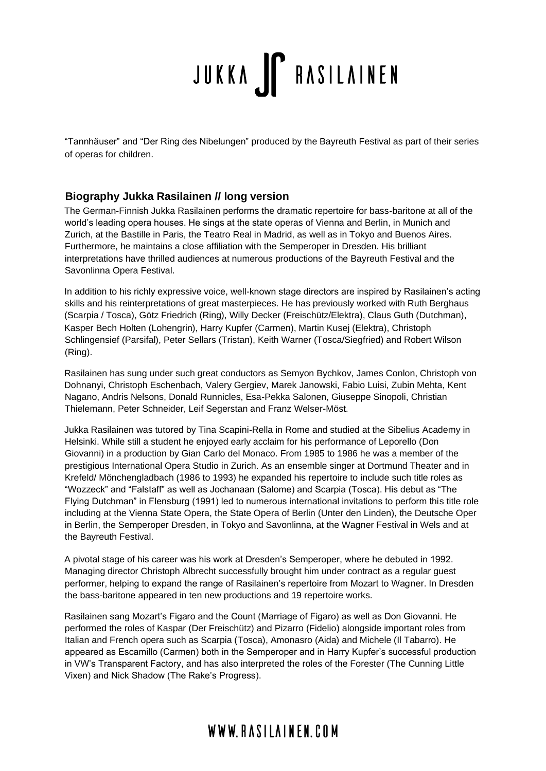## JUKKA FRASILAINEN

"Tannhäuser" and "Der Ring des Nibelungen" produced by the Bayreuth Festival as part of their series of operas for children.

#### **Biography Jukka Rasilainen // long version**

The German-Finnish Jukka Rasilainen performs the dramatic repertoire for bass-baritone at all of the world's leading opera houses. He sings at the state operas of Vienna and Berlin, in Munich and Zurich, at the Bastille in Paris, the Teatro Real in Madrid, as well as in Tokyo and Buenos Aires. Furthermore, he maintains a close affiliation with the Semperoper in Dresden. His brilliant interpretations have thrilled audiences at numerous productions of the Bayreuth Festival and the Savonlinna Opera Festival.

In addition to his richly expressive voice, well-known stage directors are inspired by Rasilainen's acting skills and his reinterpretations of great masterpieces. He has previously worked with Ruth Berghaus (Scarpia / Tosca), Götz Friedrich (Ring), Willy Decker (Freischütz/Elektra), Claus Guth (Dutchman), Kasper Bech Holten (Lohengrin), Harry Kupfer (Carmen), Martin Kusej (Elektra), Christoph Schlingensief (Parsifal), Peter Sellars (Tristan), Keith Warner (Tosca/Siegfried) and Robert Wilson (Ring).

Rasilainen has sung under such great conductors as Semyon Bychkov, James Conlon, Christoph von Dohnanyi, Christoph Eschenbach, Valery Gergiev, Marek Janowski, Fabio Luisi, Zubin Mehta, Kent Nagano, Andris Nelsons, Donald Runnicles, Esa-Pekka Salonen, Giuseppe Sinopoli, Christian Thielemann, Peter Schneider, Leif Segerstan and Franz Welser-Möst.

Jukka Rasilainen was tutored by Tina Scapini-Rella in Rome and studied at the Sibelius Academy in Helsinki. While still a student he enjoyed early acclaim for his performance of Leporello (Don Giovanni) in a production by Gian Carlo del Monaco. From 1985 to 1986 he was a member of the prestigious International Opera Studio in Zurich. As an ensemble singer at Dortmund Theater and in Krefeld/ Mönchengladbach (1986 to 1993) he expanded his repertoire to include such title roles as "Wozzeck" and "Falstaff" as well as Jochanaan (Salome) and Scarpia (Tosca). His debut as "The Flying Dutchman" in Flensburg (1991) led to numerous international invitations to perform this title role including at the Vienna State Opera, the State Opera of Berlin (Unter den Linden), the Deutsche Oper in Berlin, the Semperoper Dresden, in Tokyo and Savonlinna, at the Wagner Festival in Wels and at the Bayreuth Festival.

A pivotal stage of his career was his work at Dresden's Semperoper, where he debuted in 1992. Managing director Christoph Albrecht successfully brought him under contract as a regular guest performer, helping to expand the range of Rasilainen's repertoire from Mozart to Wagner. In Dresden the bass-baritone appeared in ten new productions and 19 repertoire works.

Rasilainen sang Mozart's Figaro and the Count (Marriage of Figaro) as well as Don Giovanni. He performed the roles of Kaspar (Der Freischütz) and Pizarro (Fidelio) alongside important roles from Italian and French opera such as Scarpia (Tosca), Amonasro (Aida) and Michele (Il Tabarro). He appeared as Escamillo (Carmen) both in the Semperoper and in Harry Kupfer's successful production in VW's Transparent Factory, and has also interpreted the roles of the Forester (The Cunning Little Vixen) and Nick Shadow (The Rake's Progress).

### WWW.RASIIAINFN.COM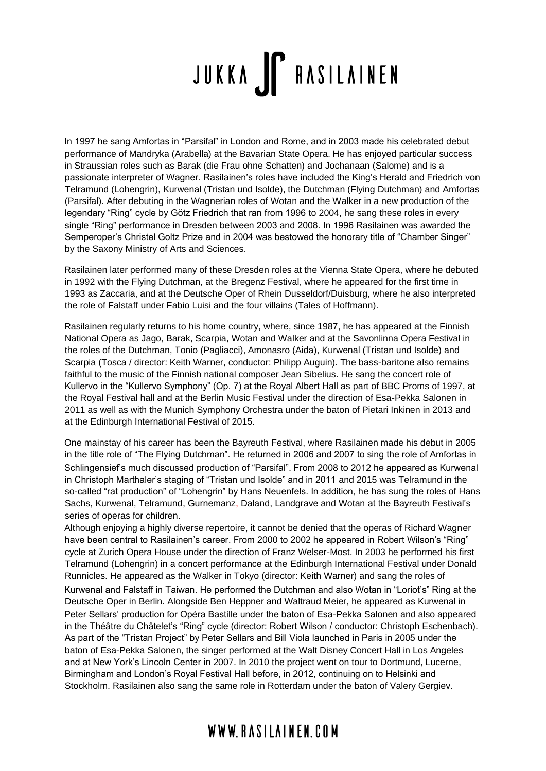## JUKKA FRASILAINEN

In 1997 he sang Amfortas in "Parsifal" in London and Rome, and in 2003 made his celebrated debut performance of Mandryka (Arabella) at the Bavarian State Opera. He has enjoyed particular success in Straussian roles such as Barak (die Frau ohne Schatten) and Jochanaan (Salome) and is a passionate interpreter of Wagner. Rasilainen's roles have included the King's Herald and Friedrich von Telramund (Lohengrin), Kurwenal (Tristan und Isolde), the Dutchman (Flying Dutchman) and Amfortas (Parsifal). After debuting in the Wagnerian roles of Wotan and the Walker in a new production of the legendary "Ring" cycle by Götz Friedrich that ran from 1996 to 2004, he sang these roles in every single "Ring" performance in Dresden between 2003 and 2008. In 1996 Rasilainen was awarded the Semperoper's Christel Goltz Prize and in 2004 was bestowed the honorary title of "Chamber Singer" by the Saxony Ministry of Arts and Sciences.

Rasilainen later performed many of these Dresden roles at the Vienna State Opera, where he debuted in 1992 with the Flying Dutchman, at the Bregenz Festival, where he appeared for the first time in 1993 as Zaccaria, and at the Deutsche Oper of Rhein Dusseldorf/Duisburg, where he also interpreted the role of Falstaff under Fabio Luisi and the four villains (Tales of Hoffmann).

Rasilainen regularly returns to his home country, where, since 1987, he has appeared at the Finnish National Opera as Jago, Barak, Scarpia, Wotan and Walker and at the Savonlinna Opera Festival in the roles of the Dutchman, Tonio (Pagliacci), Amonasro (Aida), Kurwenal (Tristan und Isolde) and Scarpia (Tosca / director: Keith Warner, conductor: Philipp Auguin). The bass-baritone also remains faithful to the music of the Finnish national composer Jean Sibelius. He sang the concert role of Kullervo in the "Kullervo Symphony" (Op. 7) at the Royal Albert Hall as part of BBC Proms of 1997, at the Royal Festival hall and at the Berlin Music Festival under the direction of Esa-Pekka Salonen in 2011 as well as with the Munich Symphony Orchestra under the baton of Pietari Inkinen in 2013 and at the Edinburgh International Festival of 2015.

One mainstay of his career has been the Bayreuth Festival, where Rasilainen made his debut in 2005 in the title role of "The Flying Dutchman". He returned in 2006 and 2007 to sing the role of Amfortas in Schlingensief's much discussed production of "Parsifal". From 2008 to 2012 he appeared as Kurwenal in Christoph Marthaler's staging of "Tristan und Isolde" and in 2011 and 2015 was Telramund in the so-called "rat production" of "Lohengrin" by Hans Neuenfels. In addition, he has sung the roles of Hans Sachs, Kurwenal, Telramund, Gurnemanz, Daland, Landgrave and Wotan at the Bayreuth Festival's series of operas for children.

Although enjoying a highly diverse repertoire, it cannot be denied that the operas of Richard Wagner have been central to Rasilainen's career. From 2000 to 2002 he appeared in Robert Wilson's "Ring" cycle at Zurich Opera House under the direction of Franz Welser-Most. In 2003 he performed his first Telramund (Lohengrin) in a concert performance at the Edinburgh International Festival under Donald Runnicles. He appeared as the Walker in Tokyo (director: Keith Warner) and sang the roles of

Kurwenal and Falstaff in Taiwan. He performed the Dutchman and also Wotan in "Loriot's" Ring at the Deutsche Oper in Berlin. Alongside Ben Heppner and Waltraud Meier, he appeared as Kurwenal in Peter Sellars' production for Opéra Bastille under the baton of Esa-Pekka Salonen and also appeared in the Théâtre du Châtelet's "Ring" cycle (director: Robert Wilson / conductor: Christoph Eschenbach). As part of the "Tristan Project" by Peter Sellars and Bill Viola launched in Paris in 2005 under the baton of Esa-Pekka Salonen, the singer performed at the Walt Disney Concert Hall in Los Angeles and at New York's Lincoln Center in 2007. In 2010 the project went on tour to Dortmund, Lucerne, Birmingham and London's Royal Festival Hall before, in 2012, continuing on to Helsinki and Stockholm. Rasilainen also sang the same role in Rotterdam under the baton of Valery Gergiev.

### WWW.RASIIAINFN.COM